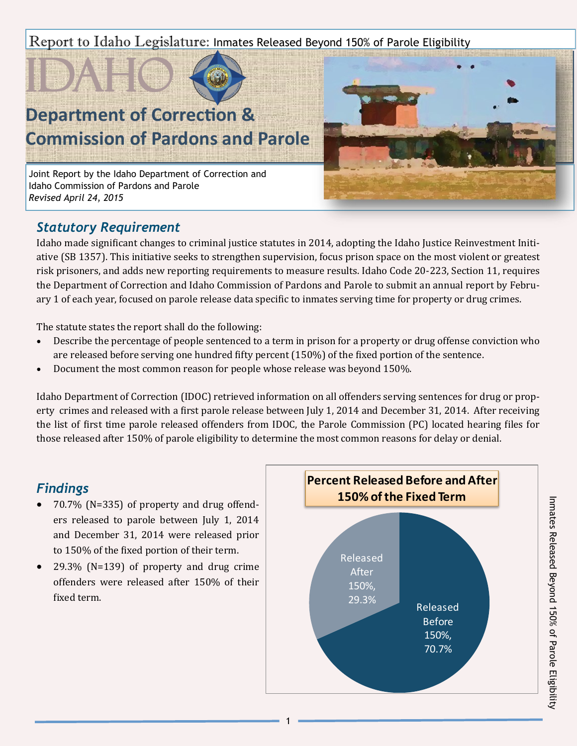Report to Idaho Legislature: Inmates Released Beyond 150% of Parole Eligibility



# **Department of Correction & Commission of Pardons and Parole**

Joint Report by the Idaho Department of Correction and Idaho Commission of Pardons and Parole *Revised April 24, 2015*



## *Statutory Requirement*

Idaho made significant changes to criminal justice statutes in 2014, adopting the Idaho Justice Reinvestment Initiative (SB 1357). This initiative seeks to strengthen supervision, focus prison space on the most violent or greatest risk prisoners, and adds new reporting requirements to measure results. Idaho Code 20-223, Section 11, requires the Department of Correction and Idaho Commission of Pardons and Parole to submit an annual report by February 1 of each year, focused on parole release data specific to inmates serving time for property or drug crimes.

The statute states the report shall do the following:

- Describe the percentage of people sentenced to a term in prison for a property or drug offense conviction who are released before serving one hundred fifty percent (150%) of the fixed portion of the sentence.
- Document the most common reason for people whose release was beyond 150%.

Idaho Department of Correction (IDOC) retrieved information on all offenders serving sentences for drug or property crimes and released with a first parole release between July 1, 2014 and December 31, 2014. After receiving the list of first time parole released offenders from IDOC, the Parole Commission (PC) located hearing files for those released after 150% of parole eligibility to determine the most common reasons for delay or denial.

## *Findings*

- 70.7% (N=335) of property and drug offenders released to parole between July 1, 2014 and December 31, 2014 were released prior to 150% of the fixed portion of their term.
- 29.3% (N=139) of property and drug crime offenders were released after 150% of their fixed term.